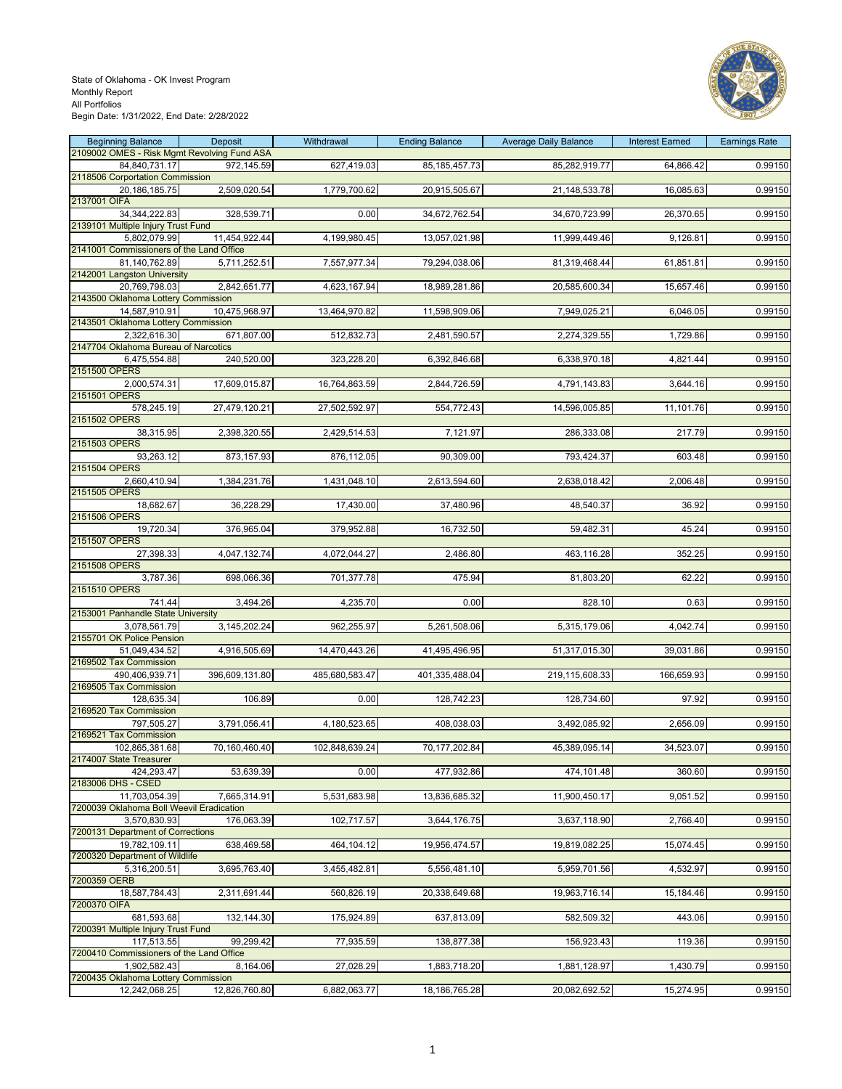

| <b>Beginning Balance</b><br>2109002 OMES - Risk Mgmt Revolving Fund ASA | Deposit        | Withdrawal     | <b>Ending Balance</b> | <b>Average Daily Balance</b> | <b>Interest Earned</b> | <b>Earnings Rate</b> |
|-------------------------------------------------------------------------|----------------|----------------|-----------------------|------------------------------|------------------------|----------------------|
| 84,840,731.17                                                           | 972,145.59     | 627,419.03     | 85, 185, 457. 73      | 85,282,919.77                | 64,866.42              | 0.99150              |
| 2118506 Corportation Commission<br>20,186,185.75                        | 2,509,020.54   | 1,779,700.62   | 20,915,505.67         | 21,148,533.78                | 16,085.63              | 0.99150              |
| 2137001 OIFA<br>34, 344, 222.83                                         | 328,539.71     | 0.00           | 34,672,762.54         | 34,670,723.99                | 26,370.65              | 0.99150              |
| 2139101 Multiple Injury Trust Fund<br>5,802,079.99                      | 11,454,922.44  | 4,199,980.45   | 13,057,021.98         | 11,999,449.46                | 9,126.81               | 0.99150              |
| 2141001 Commissioners of the Land Office                                |                |                |                       |                              |                        |                      |
| 81,140,762.89<br>2142001 Langston University                            | 5,711,252.51   | 7,557,977.34   | 79,294,038.06         | 81,319,468.44                | 61,851.81              | 0.99150              |
| 20,769,798.03<br>2143500 Oklahoma Lottery Commission                    | 2,842,651.77   | 4,623,167.94   | 18,989,281.86         | 20,585,600.34                | 15,657.46              | 0.99150              |
| 14,587,910.91                                                           | 10,475,968.97  | 13,464,970.82  | 11,598,909.06         | 7,949,025.21                 | 6,046.05               | 0.99150              |
| 2143501 Oklahoma Lottery Commission<br>2,322,616.30                     | 671,807.00     | 512,832.73     | 2,481,590.57          | 2,274,329.55                 | 1,729.86               | 0.99150              |
| 2147704 Oklahoma Bureau of Narcotics                                    |                |                |                       |                              |                        |                      |
| 6,475,554.88<br>2151500 OPERS                                           | 240,520.00     | 323,228.20     | 6,392,846.68          | 6,338,970.18                 | 4,821.44               | 0.99150              |
| 2,000,574.31                                                            | 17,609,015.87  | 16,764,863.59  | 2,844,726.59          | 4,791,143.83                 | 3,644.16               | 0.99150              |
| 2151501 OPERS                                                           |                |                |                       |                              |                        |                      |
| 578,245.19<br>2151502 OPERS                                             | 27,479,120.21  | 27,502,592.97  | 554,772.43            | 14,596,005.85                | 11,101.76              | 0.99150              |
| 38.315.95<br>2151503 OPERS                                              | 2,398,320.55   | 2,429,514.53   | 7,121.97              | 286,333.08                   | 217.79                 | 0.99150              |
| 93,263.12                                                               | 873,157.93     | 876,112.05     | 90,309.00             | 793,424.37                   | 603.48                 | 0.99150              |
| 2151504 OPERS                                                           |                |                |                       |                              |                        |                      |
| 2,660,410.94<br>2151505 OPERS                                           | 1,384,231.76   | 1,431,048.10   | 2,613,594.60          | 2,638,018.42                 | 2,006.48               | 0.99150              |
| 18,682.67<br>2151506 OPERS                                              | 36,228.29      | 17,430.00      | 37,480.96             | 48,540.37                    | 36.92                  | 0.99150              |
| 19,720.34                                                               | 376,965.04     | 379,952.88     | 16,732.50             | 59,482.31                    | 45.24                  | 0.99150              |
| 2151507 OPERS                                                           |                |                |                       |                              |                        |                      |
| 27,398.33<br>2151508 OPERS                                              | 4,047,132.74   | 4,072,044.27   | 2,486.80              | 463,116.28                   | 352.25                 | 0.99150              |
| 3,787.36                                                                | 698,066.36     | 701,377.78     | 475.94                | 81,803.20                    | 62.22                  | 0.99150              |
| 2151510 OPERS<br>741.44                                                 | 3,494.26       | 4,235.70       | 0.00                  | 828.10                       | 0.63                   | 0.99150              |
| 2153001 Panhandle State University                                      |                |                |                       |                              |                        |                      |
| 3,078,561.79<br>2155701 OK Police Pension                               | 3,145,202.24   | 962,255.97     | 5,261,508.06          | 5,315,179.06                 | 4,042.74               | 0.99150              |
| 51,049,434.52                                                           | 4,916,505.69   | 14,470,443.26  | 41,495,496.95         | 51,317,015.30                | 39,031.86              | 0.99150              |
| 2169502 Tax Commission                                                  |                |                |                       |                              |                        |                      |
| 490,406,939.71<br>2169505 Tax Commission                                | 396,609,131.80 | 485,680,583.47 | 401,335,488.04        | 219,115,608.33               | 166,659.93             | 0.99150              |
| 128,635.34                                                              | 106.89         | 0.00           | 128,742.23            | 128,734.60                   | 97.92                  | 0.99150              |
| 2169520 Tax Commission<br>797,505.27                                    | 3,791,056.41   | 4,180,523.65   | 408,038.03            | 3,492,085.92                 | 2,656.09               | 0.99150              |
| 2169521 Tax Commission                                                  |                |                |                       |                              |                        |                      |
| 102,865,381.68<br>2174007 State Treasurer                               | 70,160,460.40  | 102,848,639.24 | 70,177,202.84         | 45,389,095.14                | 34,523.07              | 0.99150              |
| 424.293.47                                                              | 53,639.39      | 0.00           | 477,932.86            | 474,101.48                   | 360.60                 | 0.99150              |
| 2183006 DHS - CSED                                                      |                |                |                       |                              |                        |                      |
| 11,703,054.39<br>7200039 Oklahoma Boll Weevil Eradication               | 7,665,314.91   | 5,531,683.98   | 13,836,685.32         | 11,900,450.17                | 9,051.52               | 0.99150              |
| 3,570,830.93                                                            | 176,063.39     | 102,717.57     | 3,644,176.75          | 3,637,118.90                 | 2,766.40               | 0.99150              |
| 7200131 Department of Corrections<br>19,782,109.11                      | 638,469.58     | 464,104.12     | 19,956,474.57         | 19,819,082.25                | 15,074.45              | 0.99150              |
| 7200320 Department of Wildlife                                          |                |                |                       |                              |                        |                      |
| 5,316,200.51<br>7200359 OERB                                            | 3,695,763.40   | 3,455,482.81   | 5,556,481.10          | 5,959,701.56                 | 4,532.97               | 0.99150              |
| 18,587,784.43                                                           | 2,311,691.44   | 560,826.19     | 20,338,649.68         | 19,963,716.14                | 15,184.46              | 0.99150              |
| 7200370 OIFA<br>681,593.68                                              | 132,144.30     | 175,924.89     | 637,813.09            | 582,509.32                   | 443.06                 | 0.99150              |
| 7200391 Multiple Injury Trust Fund                                      |                |                |                       |                              |                        |                      |
| 117,513.55<br>7200410 Commissioners of the Land Office                  | 99,299.42      | 77,935.59      | 138,877.38            | 156,923.43                   | 119.36                 | 0.99150              |
| 1,902,582.43                                                            | 8,164.06       | 27,028.29      | 1,883,718.20          | 1,881,128.97                 | 1,430.79               | 0.99150              |
| 7200435 Oklahoma Lottery Commission<br>12,242,068.25                    | 12,826,760.80  | 6,882,063.77   | 18,186,765.28         | 20,082,692.52                | 15,274.95              | 0.99150              |
|                                                                         |                |                |                       |                              |                        |                      |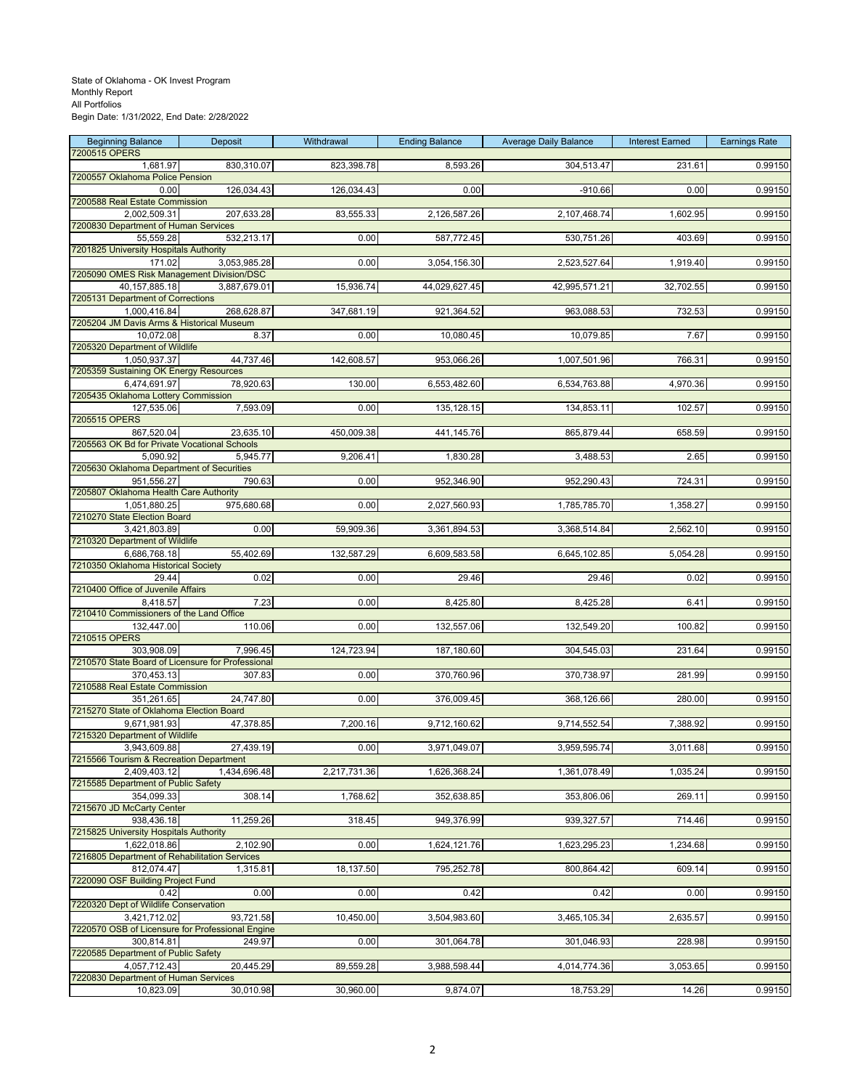| <b>Beginning Balance</b>                                  | Deposit      | Withdrawal   | <b>Ending Balance</b> | <b>Average Daily Balance</b> | <b>Interest Earned</b> | <b>Earnings Rate</b> |
|-----------------------------------------------------------|--------------|--------------|-----------------------|------------------------------|------------------------|----------------------|
| 7200515 OPERS<br>1,681.97                                 | 830,310.07   | 823,398.78   | 8,593.26              | 304,513.47                   | 231.61                 | 0.99150              |
| 7200557 Oklahoma Police Pension                           |              |              |                       |                              |                        |                      |
| 0.00                                                      | 126,034.43   | 126,034.43   | 0.00                  | $-910.66$                    | 0.00                   | 0.99150              |
| 7200588 Real Estate Commission<br>2,002,509.31            | 207,633.28   | 83,555.33    | 2,126,587.26          | 2,107,468.74                 | 1,602.95               | 0.99150              |
| 7200830 Department of Human Services                      |              |              |                       |                              |                        |                      |
| 55,559.28                                                 | 532,213.17   | 0.00         | 587,772.45            | 530,751.26                   | 403.69                 | 0.99150              |
| 7201825 University Hospitals Authority                    |              |              |                       |                              |                        |                      |
| 171.02<br>7205090 OMES Risk Management Division/DSC       | 3,053,985.28 | 0.00         | 3,054,156.30          | 2,523,527.64                 | 1,919.40               | 0.99150              |
| 40,157,885.18                                             | 3,887,679.01 | 15,936.74    | 44,029,627.45         | 42,995,571.21                | 32,702.55              | 0.99150              |
| 7205131 Department of Corrections                         |              |              |                       |                              |                        |                      |
| 1,000,416.84<br>7205204 JM Davis Arms & Historical Museum | 268,628.87   | 347,681.19   | 921,364.52            | 963,088.53                   | 732.53                 | 0.99150              |
| 10.072.08                                                 | 8.37         | 0.00         | 10,080.45             | 10,079.85                    | 7.67                   | 0.99150              |
| 7205320 Department of Wildlife                            |              |              |                       |                              |                        |                      |
| 1,050,937.37<br>7205359 Sustaining OK Energy Resources    | 44,737.46    | 142,608.57   | 953,066.26            | 1,007,501.96                 | 766.31                 | 0.99150              |
| 6,474,691.97                                              | 78,920.63    | 130.00       | 6,553,482.60          | 6,534,763.88                 | 4,970.36               | 0.99150              |
| 7205435 Oklahoma Lottery Commission                       |              |              |                       |                              |                        |                      |
| 127,535.06<br>7205515 OPERS                               | 7,593.09     | 0.00         | 135, 128.15           | 134,853.11                   | 102.57                 | 0.99150              |
| 867,520.04                                                | 23,635.10    | 450,009.38   | 441,145.76            | 865,879.44                   | 658.59                 | 0.99150              |
| 7205563 OK Bd for Private Vocational Schools              |              |              |                       |                              |                        |                      |
| 5,090.92                                                  | 5,945.77     | 9,206.41     | 1,830.28              | 3,488.53                     | 2.65                   | 0.99150              |
| 7205630 Oklahoma Department of Securities<br>951,556.27   | 790.63       | 0.00         | 952,346.90            | 952,290.43                   | 724.31                 | 0.99150              |
| 7205807 Oklahoma Health Care Authority                    |              |              |                       |                              |                        |                      |
| 1,051,880.25                                              | 975,680.68   | 0.00         | 2,027,560.93          | 1,785,785.70                 | 1,358.27               | 0.99150              |
| 7210270 State Election Board<br>3,421,803.89              | 0.00         | 59,909.36    | 3,361,894.53          | 3,368,514.84                 | 2,562.10               | 0.99150              |
| 7210320 Department of Wildlife                            |              |              |                       |                              |                        |                      |
| 6,686,768.18                                              | 55,402.69    | 132,587.29   | 6,609,583.58          | 6,645,102.85                 | 5,054.28               | 0.99150              |
| 7210350 Oklahoma Historical Society<br>29.44              | 0.02         | 0.00         | 29.46                 | 29.46                        |                        | 0.99150              |
| 7210400 Office of Juvenile Affairs                        |              |              |                       |                              | 0.02                   |                      |
| 8,418.57                                                  | 7.23         | 0.00         | 8,425.80              | 8,425.28                     | 6.41                   | 0.99150              |
| 7210410 Commissioners of the Land Office                  |              |              |                       |                              |                        |                      |
| 132,447.00<br>7210515 OPERS                               | 110.06       | 0.00         | 132,557.06            | 132,549.20                   | 100.82                 | 0.99150              |
| 303,908.09                                                | 7,996.45     | 124,723.94   | 187,180.60            | 304,545.03                   | 231.64                 | 0.99150              |
| 7210570 State Board of Licensure for Professional         |              |              |                       |                              |                        |                      |
| 370,453.13<br>7210588 Real Estate Commission              | 307.83       | 0.00         | 370,760.96            | 370,738.97                   | 281.99                 | 0.99150              |
| 351,261.65                                                | 24,747.80    | 0.00         | 376,009.45            | 368,126.66                   | 280.00                 | 0.99150              |
| 7215270 State of Oklahoma Election Board                  |              |              |                       |                              |                        |                      |
| 9,671,981.93<br>7215320 Department of Wildlife            | 47,378.85    | 7,200.16     | 9,712,160.62          | 9,714,552.54                 | 7,388.92               | 0.99150              |
| 3,943,609.88                                              | 27,439.19    | 0.00         | 3,971,049.07          | 3,959,595.74                 | 3,011.68               | 0.99150              |
| 7215566 Tourism & Recreation Department                   |              |              |                       |                              |                        |                      |
| 2.409.403.12<br>7215585 Department of Public Safety       | 1,434,696.48 | 2,217,731.36 | 1,626,368.24          | 1,361,078.49                 | 1,035.24               | 0.99150              |
| 354.099.33                                                | 308.14       | 1,768.62     | 352,638.85            | 353,806.06                   | 269.11                 | 0.99150              |
| 7215670 JD McCarty Center                                 |              |              |                       |                              |                        |                      |
| 938,436.18                                                | 11,259.26    | 318.45       | 949,376.99            | 939,327.57                   | 714.46                 | 0.99150              |
| 7215825 University Hospitals Authority<br>1,622,018.86    | 2,102.90     | 0.00         | 1,624,121.76          | 1,623,295.23                 | 1,234.68               | 0.99150              |
| 7216805 Department of Rehabilitation Services             |              |              |                       |                              |                        |                      |
| 812,074.47                                                | 1,315.81     | 18,137.50    | 795,252.78            | 800,864.42                   | 609.14                 | 0.99150              |
| 7220090 OSF Building Project Fund<br>0.42                 | 0.00         | 0.00         | 0.42                  | 0.42                         | 0.00                   | 0.99150              |
| 7220320 Dept of Wildlife Conservation                     |              |              |                       |                              |                        |                      |
| 3,421,712.02                                              | 93,721.58    | 10,450.00    | 3,504,983.60          | 3,465,105.34                 | 2,635.57               | 0.99150              |
| 7220570 OSB of Licensure for Professional Engine          |              |              |                       |                              |                        |                      |
| 300,814.81<br>7220585 Department of Public Safety         | 249.97       | 0.00         | 301,064.78            | 301,046.93                   | 228.98                 | 0.99150              |
| 4,057,712.43                                              | 20,445.29    | 89,559.28    | 3,988,598.44          | 4,014,774.36                 | 3,053.65               | 0.99150              |
| 7220830 Department of Human Services                      |              |              |                       |                              |                        |                      |
| 10,823.09                                                 | 30,010.98    | 30,960.00    | 9,874.07              | 18,753.29                    | 14.26                  | 0.99150              |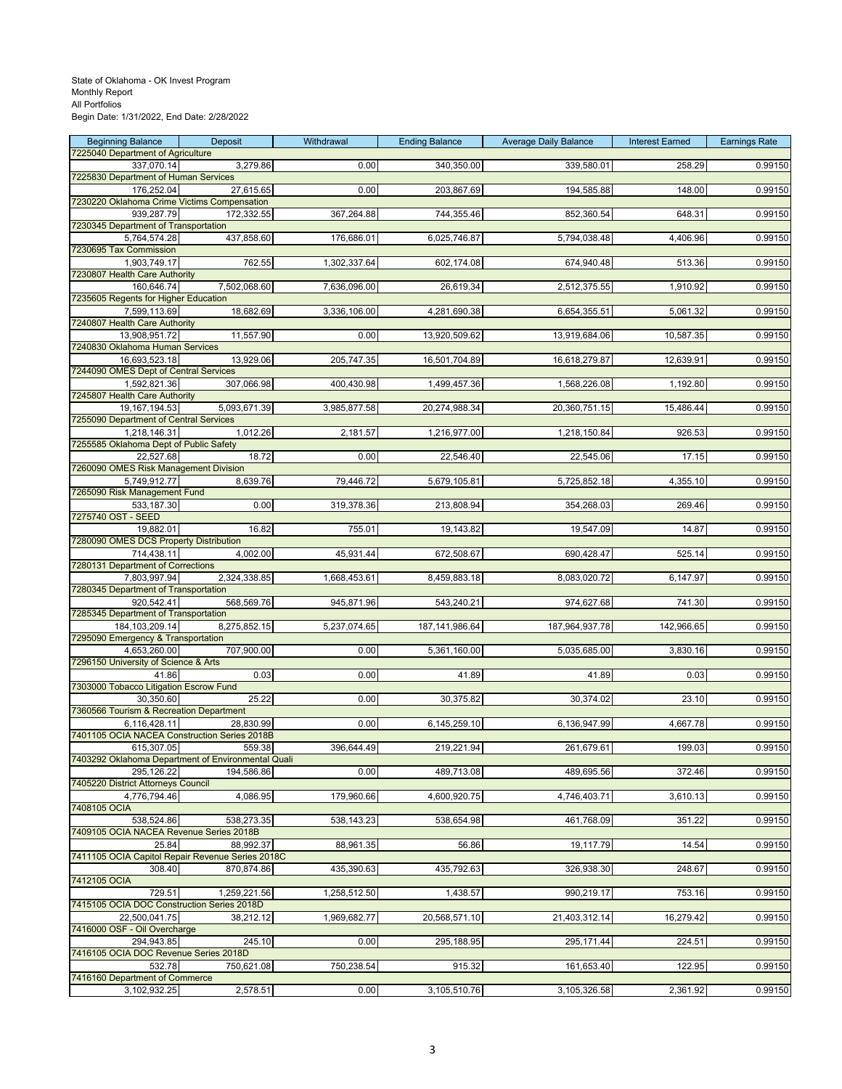| <b>Beginning Balance</b>                                         | Deposit      | Withdrawal   | <b>Ending Balance</b> | <b>Average Daily Balance</b> | <b>Interest Earned</b> | <b>Earnings Rate</b> |
|------------------------------------------------------------------|--------------|--------------|-----------------------|------------------------------|------------------------|----------------------|
| 7225040 Department of Agriculture<br>337,070.14                  | 3,279.86     | 0.00         | 340,350.00            | 339,580.01                   | 258.29                 | 0.99150              |
| 7225830 Department of Human Services                             |              |              |                       |                              |                        |                      |
| 176,252.04                                                       | 27,615.65    | 0.00         | 203,867.69            | 194,585.88                   | 148.00                 | 0.99150              |
| 7230220 Oklahoma Crime Victims Compensation                      |              |              |                       |                              |                        |                      |
| 939,287.79<br>7230345 Department of Transportation               | 172,332.55   | 367,264.88   | 744,355.46            | 852,360.54                   | 648.31                 | 0.99150              |
| 5,764,574.28                                                     | 437,858.60   | 176,686.01   | 6,025,746.87          | 5,794,038.48                 | 4,406.96               | 0.99150              |
| 7230695 Tax Commission                                           |              |              |                       |                              |                        |                      |
| 1,903,749.17<br>7230807 Health Care Authority                    | 762.55       | 1,302,337.64 | 602,174.08            | 674,940.48                   | 513.36                 | 0.99150              |
| 160,646.74                                                       | 7,502,068.60 | 7,636,096.00 | 26,619.34             | 2,512,375.55                 | 1,910.92               | 0.99150              |
| 7235605 Regents for Higher Education                             |              |              |                       |                              |                        |                      |
| 7,599,113.69                                                     | 18,682.69    | 3,336,106.00 | 4,281,690.38          | 6,654,355.51                 | 5,061.32               | 0.99150              |
| 7240807 Health Care Authority                                    |              |              |                       |                              |                        |                      |
| 13,908,951.72<br>7240830 Oklahoma Human Services                 | 11,557.90    | 0.00         | 13,920,509.62         | 13,919,684.06                | 10,587.35              | 0.99150              |
| 16,693,523.18                                                    | 13,929.06    | 205,747.35   | 16,501,704.89         | 16,618,279.87                | 12,639.91              | 0.99150              |
| 7244090 OMES Dept of Central Services                            |              |              |                       |                              |                        |                      |
| 1,592,821.36                                                     | 307,066.98   | 400,430.98   | 1,499,457.36          | 1,568,226.08                 | 1,192.80               | 0.99150              |
| 7245807 Health Care Authority<br>19, 167, 194.53                 | 5,093,671.39 | 3,985,877.58 | 20,274,988.34         | 20,360,751.15                | 15,486.44              | 0.99150              |
| 7255090 Department of Central Services                           |              |              |                       |                              |                        |                      |
| 1,218,146.31                                                     | 1,012.26     | 2,181.57     | 1,216,977.00          | 1,218,150.84                 | 926.53                 | 0.99150              |
| 7255585 Oklahoma Dept of Public Safety                           |              |              |                       |                              |                        |                      |
| 22,527.68<br>7260090 OMES Risk Management Division               | 18.72        | 0.00         | 22,546.40             | 22,545.06                    | 17.15                  | 0.99150              |
| 5,749,912.77                                                     | 8,639.76     | 79.446.72    | 5,679,105.81          | 5,725,852.18                 | 4,355.10               | 0.99150              |
| 7265090 Risk Management Fund                                     |              |              |                       |                              |                        |                      |
| 533,187.30<br>7275740 OST - SEED                                 | 0.00         | 319,378.36   | 213,808.94            | 354,268.03                   | 269.46                 | 0.99150              |
| 19,882.01                                                        | 16.82        | 755.01       | 19,143.82             | 19,547.09                    | 14.87                  | 0.99150              |
| 7280090 OMES DCS Property Distribution                           |              |              |                       |                              |                        |                      |
| 714,438.11                                                       | 4,002.00     | 45,931.44    | 672,508.67            | 690,428.47                   | 525.14                 | 0.99150              |
| 7280131 Department of Corrections<br>7,803,997.94                | 2,324,338.85 | 1,668,453.61 | 8,459,883.18          | 8,083,020.72                 | 6,147.97               | 0.99150              |
| 7280345 Department of Transportation                             |              |              |                       |                              |                        |                      |
| 920,542.41                                                       | 568,569.76   | 945,871.96   | 543,240.21            | 974,627.68                   | 741.30                 | 0.99150              |
| 7285345 Department of Transportation                             |              |              |                       |                              |                        |                      |
| 184, 103, 209. 14<br>7295090 Emergency & Transportation          | 8,275,852.15 | 5,237,074.65 | 187, 141, 986.64      | 187,964,937.78               | 142,966.65             | 0.99150              |
| 4,653,260.00                                                     | 707,900.00   | 0.00         | 5,361,160.00          | 5,035,685.00                 | 3,830.16               | 0.99150              |
| 7296150 University of Science & Arts                             |              |              |                       |                              |                        |                      |
| 41.86                                                            | 0.03         | 0.00         | 41.89                 | 41.89                        | 0.03                   | 0.99150              |
| 7303000 Tobacco Litigation Escrow Fund<br>30,350.60              | 25.22        | 0.00         | 30,375.82             | 30,374.02                    | 23.10                  | 0.99150              |
| 7360566 Tourism & Recreation Department                          |              |              |                       |                              |                        |                      |
| 6,116,428.11                                                     | 28.830.99    | 0.00         | 6,145,259.10          | 6,136,947.99                 | 4,667.78               | 0.99150              |
| 7401105 OCIA NACEA Construction Series 2018B                     |              |              |                       |                              |                        |                      |
| 615.307.05<br>7403292 Oklahoma Department of Environmental Quali | 559.38       | 396,644.49   | 219,221.94            | 261,679.61                   | 199.03                 | 0.99150              |
| 295.126.22                                                       | 194,586.86   | 0.00         | 489,713.08            | 489,695.56                   | 372.46                 | 0.99150              |
| 7405220 District Attorneys Council                               |              |              |                       |                              |                        |                      |
| 4.776.794.46                                                     | 4,086.95     | 179,960.66   | 4,600,920.75          | 4,746,403.71                 | 3,610.13               | 0.99150              |
| 7408105 OCIA<br>538,524.86                                       | 538,273.35   | 538,143.23   | 538,654.98            | 461,768.09                   | 351.22                 | 0.99150              |
| 7409105 OCIA NACEA Revenue Series 2018B                          |              |              |                       |                              |                        |                      |
| 25.84                                                            | 88,992.37    | 88,961.35    | 56.86                 | 19,117.79                    | 14.54                  | 0.99150              |
| 7411105 OCIA Capitol Repair Revenue Series 2018C                 |              |              |                       |                              |                        |                      |
| 308.40<br>7412105 OCIA                                           | 870,874.86   | 435,390.63   | 435,792.63            | 326,938.30                   | 248.67                 | 0.99150              |
| 729.51                                                           | 1,259,221.56 | 1,258,512.50 | 1,438.57              | 990,219.17                   | 753.16                 | 0.99150              |
| 7415105 OCIA DOC Construction Series 2018D                       |              |              |                       |                              |                        |                      |
| 22.500.041.75                                                    | 38,212.12    | 1,969,682.77 | 20,568,571.10         | 21,403,312.14                | 16,279.42              | 0.99150              |
| 7416000 OSF - Oil Overcharge                                     |              | 0.00         |                       |                              |                        |                      |
| 294,943.85<br>7416105 OCIA DOC Revenue Series 2018D              | 245.10       |              | 295,188.95            | 295, 171.44                  | 224.51                 | 0.99150              |
| 532.78                                                           | 750,621.08   | 750,238.54   | 915.32                | 161,653.40                   | 122.95                 | 0.99150              |
| 7416160 Department of Commerce                                   |              |              |                       |                              |                        |                      |
| 3,102,932.25                                                     | 2,578.51     | 0.00         | 3,105,510.76          | 3,105,326.58                 | 2,361.92               | 0.99150              |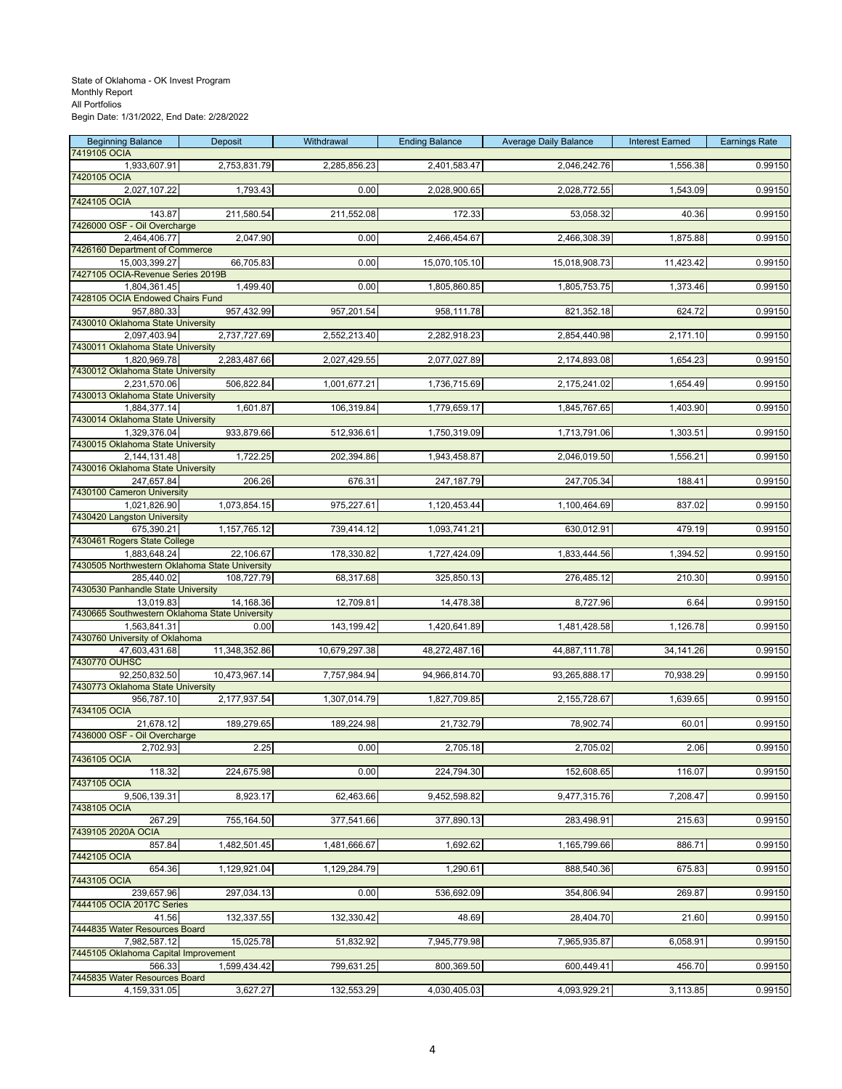| <b>Beginning Balance</b>                          | Deposit       | Withdrawal    | <b>Ending Balance</b> | <b>Average Daily Balance</b> | <b>Interest Earned</b> | <b>Earnings Rate</b> |
|---------------------------------------------------|---------------|---------------|-----------------------|------------------------------|------------------------|----------------------|
| 7419105 OCIA<br>1,933,607.91                      | 2,753,831.79  | 2,285,856.23  | 2,401,583.47          | 2,046,242.76                 | 1,556.38               | 0.99150              |
| 7420105 OCIA                                      |               |               |                       |                              |                        |                      |
| 2,027,107.22                                      | 1,793.43      | 0.00          | 2,028,900.65          | 2,028,772.55                 | 1,543.09               | 0.99150              |
| 7424105 OCIA<br>143.87                            | 211,580.54    | 211,552.08    | 172.33                | 53,058.32                    | 40.36                  | 0.99150              |
| 7426000 OSF - Oil Overcharge                      |               |               |                       |                              |                        |                      |
| 2,464,406.77                                      | 2,047.90      | 0.00          | 2,466,454.67          | 2,466,308.39                 | 1,875.88               | 0.99150              |
| 7426160 Department of Commerce<br>15,003,399.27   | 66,705.83     | 0.00          | 15,070,105.10         | 15,018,908.73                | 11,423.42              | 0.99150              |
| 7427105 OCIA-Revenue Series 2019B                 |               |               |                       |                              |                        |                      |
| 1,804,361.45                                      | 1,499.40      | 0.00          | 1,805,860.85          | 1,805,753.75                 | 1,373.46               | 0.99150              |
| 7428105 OCIA Endowed Chairs Fund<br>957,880.33    | 957,432.99    | 957,201.54    | 958,111.78            | 821,352.18                   | 624.72                 | 0.99150              |
| 7430010 Oklahoma State University                 |               |               |                       |                              |                        |                      |
| 2,097,403.94<br>7430011 Oklahoma State University | 2,737,727.69  | 2,552,213.40  | 2,282,918.23          | 2,854,440.98                 | 2,171.10               | 0.99150              |
| 1,820,969.78                                      | 2,283,487.66  | 2,027,429.55  | 2,077,027.89          | 2,174,893.08                 | 1,654.23               | 0.99150              |
| 7430012 Oklahoma State University                 |               |               |                       |                              |                        |                      |
| 2,231,570.06                                      | 506,822.84    | 1,001,677.21  | 1,736,715.69          | 2,175,241.02                 | 1,654.49               | 0.99150              |
| 7430013 Oklahoma State University<br>1,884,377.14 | 1,601.87      | 106,319.84    | 1,779,659.17          | 1,845,767.65                 | 1,403.90               | 0.99150              |
| 7430014 Oklahoma State University                 |               |               |                       |                              |                        |                      |
| 1,329,376.04<br>7430015 Oklahoma State University | 933,879.66    | 512,936.61    | 1,750,319.09          | 1,713,791.06                 | 1,303.51               | 0.99150              |
| 2,144,131.48                                      | 1,722.25      | 202,394.86    | 1,943,458.87          | 2,046,019.50                 | 1,556.21               | 0.99150              |
| 7430016 Oklahoma State University                 |               |               |                       |                              |                        |                      |
| 247,657.84                                        | 206.26        | 676.31        | 247,187.79            | 247,705.34                   | 188.41                 | 0.99150              |
| 7430100 Cameron University<br>1,021,826.90        | 1,073,854.15  | 975,227.61    | 1,120,453.44          | 1,100,464.69                 | 837.02                 | 0.99150              |
| 7430420 Langston University                       |               |               |                       |                              |                        |                      |
| 675,390.21                                        | 1,157,765.12  | 739,414.12    | 1,093,741.21          | 630,012.91                   | 479.19                 | 0.99150              |
| 7430461 Rogers State College<br>1,883,648.24      | 22,106.67     | 178,330.82    | 1,727,424.09          | 1,833,444.56                 | 1,394.52               | 0.99150              |
| 7430505 Northwestern Oklahoma State University    |               |               |                       |                              |                        |                      |
| 285,440.02<br>7430530 Panhandle State University  | 108,727.79    | 68,317.68     | 325,850.13            | 276,485.12                   | 210.30                 | 0.99150              |
| 13,019.83                                         | 14,168.36     | 12,709.81     | 14,478.38             | 8,727.96                     | 6.64                   | 0.99150              |
| 7430665 Southwestern Oklahoma State University    |               |               |                       |                              |                        |                      |
| 1,563,841.31                                      | 0.00          | 143,199.42    | 1,420,641.89          | 1,481,428.58                 | 1,126.78               | 0.99150              |
| 7430760 University of Oklahoma<br>47,603,431.68   | 11,348,352.86 | 10,679,297.38 | 48,272,487.16         | 44,887,111.78                | 34,141.26              | 0.99150              |
| 7430770 OUHSC                                     |               |               |                       |                              |                        |                      |
| 92,250,832.50                                     | 10,473,967.14 | 7,757,984.94  | 94,966,814.70         | 93,265,888.17                | 70,938.29              | 0.99150              |
| 7430773 Oklahoma State University<br>956,787.10   | 2,177,937.54  | 1,307,014.79  | 1,827,709.85          | 2,155,728.67                 | 1,639.65               | 0.99150              |
| 7434105 OCIA                                      |               |               |                       |                              |                        |                      |
| 21,678.12                                         | 189,279.65    | 189,224.98    | 21,732.79             | 78,902.74                    | 60.01                  | 0.99150              |
| 7436000 OSF - Oil Overcharge<br>2,702.93          | 2.25          | 0.00          | 2,705.18              | 2,705.02                     | 2.06                   | 0.99150              |
| 7436105 OCIA                                      |               |               |                       |                              |                        |                      |
| 118.32<br>7437105 OCIA                            | 224,675.98    | 0.00          | 224,794.30            | 152,608.65                   | 116.07                 | 0.99150              |
| 9,506,139.31                                      | 8,923.17      | 62,463.66     | 9,452,598.82          | 9,477,315.76                 | 7,208.47               | 0.99150              |
| 7438105 OCIA                                      |               |               |                       |                              |                        |                      |
| 267.29<br>7439105 2020A OCIA                      | 755,164.50    | 377,541.66    | 377,890.13            | 283,498.91                   | 215.63                 | 0.99150              |
| 857.84                                            | 1,482,501.45  | 1,481,666.67  | 1,692.62              | 1,165,799.66                 | 886.71                 | 0.99150              |
| 7442105 OCIA                                      |               |               |                       |                              |                        |                      |
| 654.36<br>7443105 OCIA                            | 1,129,921.04  | 1,129,284.79  | 1,290.61              | 888,540.36                   | 675.83                 | 0.99150              |
| 239,657.96                                        | 297,034.13    | 0.00          | 536,692.09            | 354,806.94                   | 269.87                 | 0.99150              |
| 7444105 OCIA 2017C Series                         |               |               |                       |                              |                        |                      |
| 41.56<br>7444835 Water Resources Board            | 132,337.55    | 132,330.42    | 48.69                 | 28,404.70                    | 21.60                  | 0.99150              |
| 7,982,587.12                                      | 15,025.78     | 51,832.92     | 7,945,779.98          | 7,965,935.87                 | 6,058.91               | 0.99150              |
| 7445105 Oklahoma Capital Improvement              |               |               |                       |                              |                        |                      |
| 566.33                                            | 1,599,434.42  | 799,631.25    | 800,369.50            | 600,449.41                   | 456.70                 | 0.99150              |
| 7445835 Water Resources Board<br>4,159,331.05     | 3,627.27      | 132,553.29    | 4,030,405.03          | 4,093,929.21                 | 3,113.85               | 0.99150              |
|                                                   |               |               |                       |                              |                        |                      |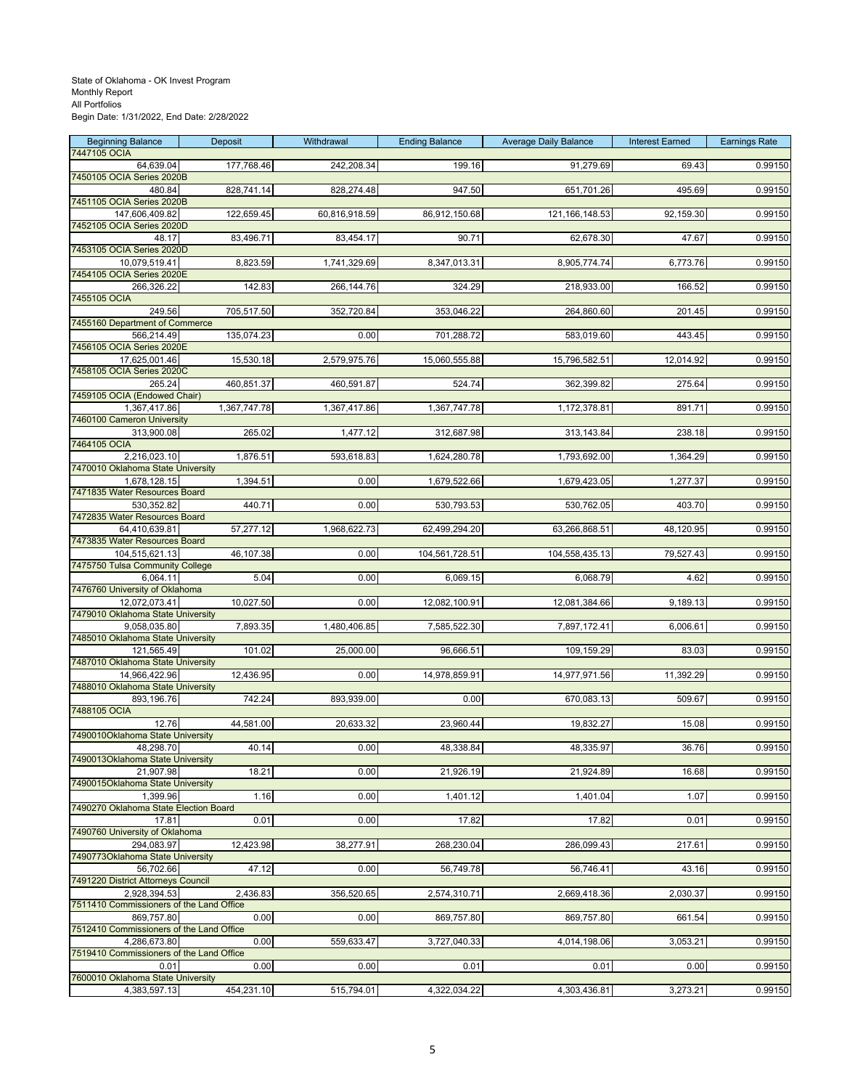| <b>Beginning Balance</b>                               | Deposit      | Withdrawal    | <b>Ending Balance</b> | <b>Average Daily Balance</b> | <b>Interest Earned</b> | <b>Earnings Rate</b> |
|--------------------------------------------------------|--------------|---------------|-----------------------|------------------------------|------------------------|----------------------|
| 7447105 OCIA<br>64,639.04                              | 177,768.46   | 242,208.34    | 199.16                | 91,279.69                    | 69.43                  | 0.99150              |
| 7450105 OCIA Series 2020B                              |              |               |                       |                              |                        |                      |
| 480.84                                                 | 828,741.14   | 828,274.48    | 947.50                | 651,701.26                   | 495.69                 | 0.99150              |
| 7451105 OCIA Series 2020B<br>147,606,409.82            | 122,659.45   | 60,816,918.59 | 86,912,150.68         | 121, 166, 148.53             | 92,159.30              | 0.99150              |
| 7452105 OCIA Series 2020D                              |              |               |                       |                              |                        |                      |
| 48.17                                                  | 83,496.71    | 83,454.17     | 90.71                 | 62,678.30                    | 47.67                  | 0.99150              |
| 7453105 OCIA Series 2020D<br>10,079,519.41             | 8,823.59     | 1,741,329.69  | 8,347,013.31          | 8,905,774.74                 | 6,773.76               | 0.99150              |
| 7454105 OCIA Series 2020E                              |              |               |                       |                              |                        |                      |
| 266,326.22                                             | 142.83       | 266, 144. 76  | 324.29                | 218,933.00                   | 166.52                 | 0.99150              |
| 7455105 OCIA<br>249.56                                 |              |               | 353,046.22            | 264,860.60                   |                        | 0.99150              |
| 7455160 Department of Commerce                         | 705,517.50   | 352,720.84    |                       |                              | 201.45                 |                      |
| 566,214.49                                             | 135,074.23   | 0.00          | 701,288.72            | 583,019.60                   | 443.45                 | 0.99150              |
| 7456105 OCIA Series 2020E                              |              |               |                       |                              |                        |                      |
| 17,625,001.46<br>7458105 OCIA Series 2020C             | 15,530.18    | 2,579,975.76  | 15,060,555.88         | 15,796,582.51                | 12,014.92              | 0.99150              |
| 265.24                                                 | 460,851.37   | 460,591.87    | 524.74                | 362,399.82                   | 275.64                 | 0.99150              |
| 7459105 OCIA (Endowed Chair)                           |              |               |                       |                              |                        |                      |
| 1,367,417.86<br>7460100 Cameron University             | 1,367,747.78 | 1,367,417.86  | 1,367,747.78          | 1,172,378.81                 | 891.71                 | 0.99150              |
| 313,900.08                                             | 265.02       | 1,477.12      | 312,687.98            | 313,143.84                   | 238.18                 | 0.99150              |
| 7464105 OCIA                                           |              |               |                       |                              |                        |                      |
| 2,216,023.10<br>7470010 Oklahoma State University      | 1,876.51     | 593,618.83    | 1,624,280.78          | 1,793,692.00                 | 1,364.29               | 0.99150              |
| 1,678,128.15                                           | 1,394.51     | 0.00          | 1,679,522.66          | 1,679,423.05                 | 1,277.37               | 0.99150              |
| 7471835 Water Resources Board                          |              |               |                       |                              |                        |                      |
| 530,352.82<br>7472835 Water Resources Board            | 440.71       | 0.00          | 530,793.53            | 530,762.05                   | 403.70                 | 0.99150              |
| 64,410,639.81                                          | 57,277.12    | 1,968,622.73  | 62,499,294.20         | 63,266,868.51                | 48,120.95              | 0.99150              |
| 7473835 Water Resources Board                          |              |               |                       |                              |                        |                      |
| 104,515,621.13<br>7475750 Tulsa Community College      | 46,107.38    | 0.00          | 104,561,728.51        | 104,558,435.13               | 79,527.43              | 0.99150              |
| 6,064.11                                               | 5.04         | 0.00          | 6,069.15              | 6,068.79                     | 4.62                   | 0.99150              |
| 7476760 University of Oklahoma                         |              |               |                       |                              |                        |                      |
| 12,072,073.41<br>7479010 Oklahoma State University     | 10,027.50    | 0.00          | 12,082,100.91         | 12,081,384.66                | 9,189.13               | 0.99150              |
| 9,058,035.80                                           | 7,893.35     | 1,480,406.85  | 7,585,522.30          | 7,897,172.41                 | 6,006.61               | 0.99150              |
| 7485010 Oklahoma State University                      |              |               |                       |                              |                        |                      |
| 121,565.49                                             | 101.02       | 25,000.00     | 96,666.51             | 109,159.29                   | 83.03                  | 0.99150              |
| 7487010 Oklahoma State University<br>14,966,422.96     | 12,436.95    | 0.00          | 14,978,859.91         | 14,977,971.56                | 11,392.29              | 0.99150              |
| 7488010 Oklahoma State University                      |              |               |                       |                              |                        |                      |
| 893,196.76                                             | 742.24       | 893,939.00    | 0.00                  | 670,083.13                   | 509.67                 | 0.99150              |
| 7488105 OCIA<br>12.76                                  | 44,581.00    | 20,633.32     | 23,960.44             | 19,832.27                    | 15.08                  | 0.99150              |
| 7490010Oklahoma State University                       |              |               |                       |                              |                        |                      |
| 48,298.70                                              | 40.14        | 0.00          | 48,338.84             | 48,335.97                    | 36.76                  | 0.99150              |
| 7490013Oklahoma State University<br>21,907.98          | 18.21        | 0.00          | 21,926.19             | 21,924.89                    | 16.68                  | 0.99150              |
| 7490015Oklahoma State University                       |              |               |                       |                              |                        |                      |
| 1,399.96                                               | 1.16         | 0.00          | 1,401.12              | 1,401.04                     | 1.07                   | 0.99150              |
| 7490270 Oklahoma State Election Board<br>17.81         | 0.01         | 0.00          | 17.82                 | 17.82                        | 0.01                   | 0.99150              |
| 7490760 University of Oklahoma                         |              |               |                       |                              |                        |                      |
| 294,083.97                                             | 12,423.98    | 38,277.91     | 268,230.04            | 286,099.43                   | 217.61                 | 0.99150              |
| 7490773Oklahoma State University<br>56,702.66          | 47.12        | 0.00          | 56,749.78             | 56,746.41                    | 43.16                  | 0.99150              |
| 7491220 District Attorneys Council                     |              |               |                       |                              |                        |                      |
| 2,928,394.53                                           | 2,436.83     | 356,520.65    | 2,574,310.71          | 2,669,418.36                 | 2,030.37               | 0.99150              |
| 7511410 Commissioners of the Land Office<br>869,757.80 | 0.00         | 0.00          | 869,757.80            | 869,757.80                   | 661.54                 | 0.99150              |
| 7512410 Commissioners of the Land Office               |              |               |                       |                              |                        |                      |
| 4,286,673.80                                           | 0.00         | 559,633.47    | 3,727,040.33          | 4,014,198.06                 | 3,053.21               | 0.99150              |
| 7519410 Commissioners of the Land Office<br>0.01       | 0.00         | 0.00          | 0.01                  | 0.01                         | 0.00                   | 0.99150              |
| 7600010 Oklahoma State University                      |              |               |                       |                              |                        |                      |
| 4,383,597.13                                           | 454,231.10   | 515,794.01    | 4,322,034.22          | 4,303,436.81                 | 3,273.21               | 0.99150              |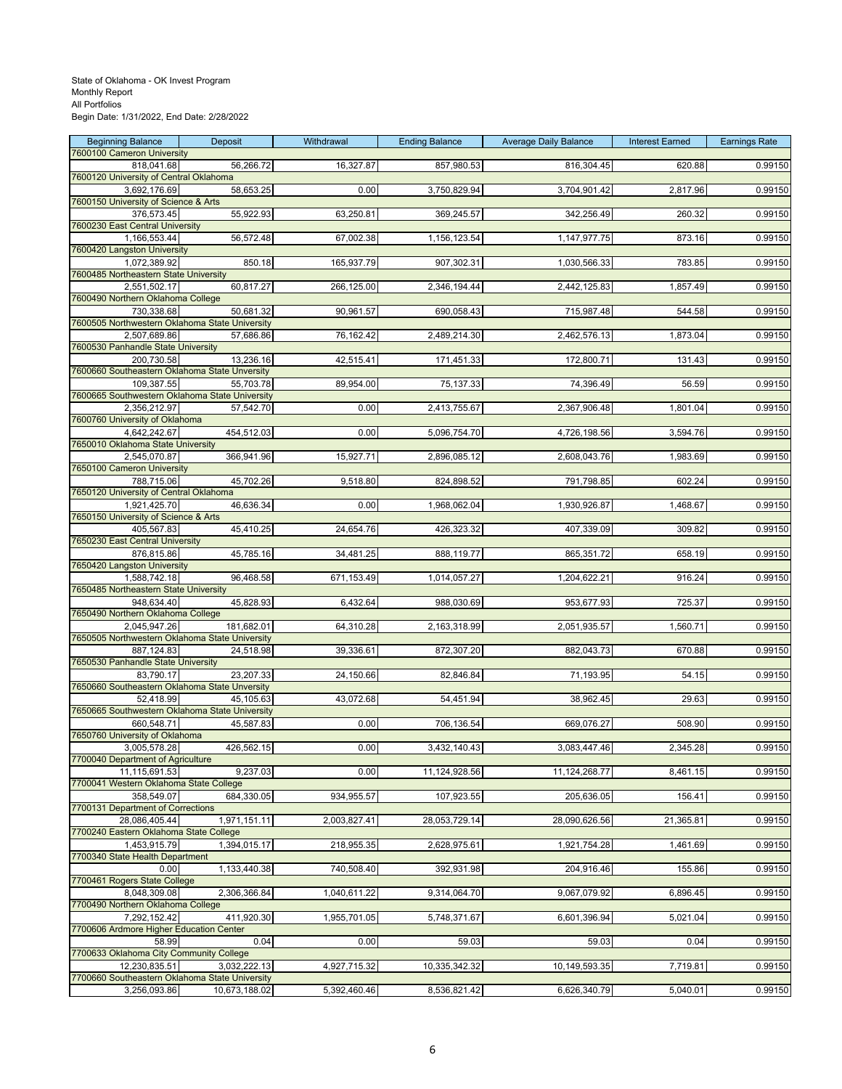| <b>Beginning Balance</b><br><b>7600100 Cameron University</b> | Deposit       | Withdrawal   | <b>Ending Balance</b> | <b>Average Daily Balance</b> | <b>Interest Earned</b> | <b>Earnings Rate</b> |
|---------------------------------------------------------------|---------------|--------------|-----------------------|------------------------------|------------------------|----------------------|
| 818,041.68                                                    | 56,266.72     | 16,327.87    | 857,980.53            | 816,304.45                   | 620.88                 | 0.99150              |
| 7600120 University of Central Oklahoma                        |               |              |                       |                              |                        |                      |
| 3,692,176.69                                                  | 58,653.25     | 0.00         | 3,750,829.94          | 3,704,901.42                 | 2,817.96               | 0.99150              |
| 7600150 University of Science & Arts<br>376,573.45            | 55,922.93     | 63,250.81    | 369,245.57            | 342,256.49                   | 260.32                 | 0.99150              |
| 7600230 East Central University                               |               |              |                       |                              |                        |                      |
| 1,166,553.44                                                  | 56,572.48     | 67,002.38    | 1,156,123.54          | 1,147,977.75                 | 873.16                 | 0.99150              |
| 7600420 Langston University                                   |               |              |                       |                              |                        |                      |
| 1,072,389.92                                                  | 850.18        | 165,937.79   | 907,302.31            | 1,030,566.33                 | 783.85                 | 0.99150              |
| 7600485 Northeastern State University<br>2,551,502.17         | 60,817.27     | 266,125.00   | 2,346,194.44          | 2,442,125.83                 | 1,857.49               | 0.99150              |
| 7600490 Northern Oklahoma College                             |               |              |                       |                              |                        |                      |
| 730,338.68                                                    | 50,681.32     | 90,961.57    | 690,058.43            | 715,987.48                   | 544.58                 | 0.99150              |
| 7600505 Northwestern Oklahoma State University                |               |              |                       |                              |                        |                      |
| 2,507,689.86<br>7600530 Panhandle State University            | 57,686.86     | 76,162.42    | 2,489,214.30          | 2,462,576.13                 | 1,873.04               | 0.99150              |
| 200,730.58                                                    | 13,236.16     | 42,515.41    | 171,451.33            | 172,800.71                   | 131.43                 | 0.99150              |
| 7600660 Southeastern Oklahoma State Unversity                 |               |              |                       |                              |                        |                      |
| 109,387.55                                                    | 55,703.78     | 89,954.00    | 75,137.33             | 74,396.49                    | 56.59                  | 0.99150              |
| 7600665 Southwestern Oklahoma State University                |               |              |                       |                              |                        |                      |
| 2,356,212.97<br>7600760 University of Oklahoma                | 57,542.70     | 0.00         | 2,413,755.67          | 2,367,906.48                 | 1,801.04               | 0.99150              |
| 4,642,242.67                                                  | 454,512.03    | 0.00         | 5,096,754.70          | 4,726,198.56                 | 3,594.76               | 0.99150              |
| 7650010 Oklahoma State University                             |               |              |                       |                              |                        |                      |
| 2,545,070.87                                                  | 366,941.96    | 15,927.71    | 2,896,085.12          | 2,608,043.76                 | 1,983.69               | 0.99150              |
| 7650100 Cameron University                                    |               |              |                       |                              |                        |                      |
| 788,715.06<br>7650120 University of Central Oklahoma          | 45,702.26     | 9,518.80     | 824,898.52            | 791,798.85                   | 602.24                 | 0.99150              |
| 1,921,425.70                                                  | 46,636.34     | 0.00         | 1,968,062.04          | 1,930,926.87                 | 1,468.67               | 0.99150              |
| 7650150 University of Science & Arts                          |               |              |                       |                              |                        |                      |
| 405,567.83                                                    | 45,410.25     | 24,654.76    | 426,323.32            | 407,339.09                   | 309.82                 | 0.99150              |
| 7650230 East Central University                               |               |              |                       |                              |                        |                      |
| 876,815.86<br>7650420 Langston University                     | 45,785.16     | 34,481.25    | 888,119.77            | 865,351.72                   | 658.19                 | 0.99150              |
| 1,588,742.18                                                  | 96,468.58     | 671,153.49   | 1,014,057.27          | 1,204,622.21                 | 916.24                 | 0.99150              |
| 7650485 Northeastern State University                         |               |              |                       |                              |                        |                      |
| 948,634.40                                                    | 45,828.93     | 6,432.64     | 988,030.69            | 953,677.93                   | 725.37                 | 0.99150              |
| 7650490 Northern Oklahoma College<br>2,045,947.26             | 181,682.01    | 64,310.28    | 2,163,318.99          | 2,051,935.57                 | 1,560.71               | 0.99150              |
| 7650505 Northwestern Oklahoma State University                |               |              |                       |                              |                        |                      |
| 887,124.83                                                    | 24,518.98     | 39,336.61    | 872,307.20            | 882,043.73                   | 670.88                 | 0.99150              |
| 7650530 Panhandle State University                            |               |              |                       |                              |                        |                      |
| 83,790.17                                                     | 23,207.33     | 24,150.66    | 82,846.84             | 71,193.95                    | 54.15                  | 0.99150              |
| 7650660 Southeastern Oklahoma State Unversity<br>52,418.99    | 45,105.63     | 43,072.68    | 54,451.94             | 38,962.45                    | 29.63                  | 0.99150              |
| 7650665 Southwestern Oklahoma State University                |               |              |                       |                              |                        |                      |
| 660,548.71                                                    | 45,587.83     | 0.00         | 706,136.54            | 669,076.27                   | 508.90                 | 0.99150              |
| 7650760 University of Oklahoma                                |               |              |                       |                              |                        |                      |
| 3.005.578.28<br>7700040 Department of Agriculture             | 426,562.15    | 0.00         | 3,432,140.43          | 3,083,447.46                 | 2.345.28               | 0.99150              |
| 11,115,691.53                                                 | 9,237.03      | 0.00         | 11,124,928.56         | 11,124,268.77                | 8,461.15               | 0.99150              |
| 7700041 Western Oklahoma State College                        |               |              |                       |                              |                        |                      |
| 358,549.07                                                    | 684,330.05    | 934,955.57   | 107,923.55            | 205,636.05                   | 156.41                 | 0.99150              |
| 7700131 Department of Corrections                             | 1,971,151.11  |              |                       | 28,090,626.56                |                        |                      |
| 28,086,405.44<br>7700240 Eastern Oklahoma State College       |               | 2,003,827.41 | 28,053,729.14         |                              | 21,365.81              | 0.99150              |
| 1,453,915.79                                                  | 1,394,015.17  | 218,955.35   | 2,628,975.61          | 1,921,754.28                 | 1,461.69               | 0.99150              |
| 7700340 State Health Department                               |               |              |                       |                              |                        |                      |
| 0.00                                                          | 1,133,440.38  | 740,508.40   | 392,931.98            | 204,916.46                   | 155.86                 | 0.99150              |
| 7700461 Rogers State College<br>8,048,309.08                  | 2,306,366.84  | 1,040,611.22 | 9,314,064.70          | 9,067,079.92                 | 6,896.45               | 0.99150              |
| 7700490 Northern Oklahoma College                             |               |              |                       |                              |                        |                      |
| 7,292,152.42                                                  | 411,920.30    | 1,955,701.05 | 5,748,371.67          | 6,601,396.94                 | 5,021.04               | 0.99150              |
| 7700606 Ardmore Higher Education Center                       |               |              |                       |                              |                        |                      |
| 58.99                                                         | 0.04          | 0.00         | 59.03                 | 59.03                        | 0.04                   | 0.99150              |
| 7700633 Oklahoma City Community College<br>12,230,835.51      | 3,032,222.13  | 4,927,715.32 | 10,335,342.32         | 10,149,593.35                | 7,719.81               | 0.99150              |
| 7700660 Southeastern Oklahoma State University                |               |              |                       |                              |                        |                      |
| 3,256,093.86                                                  | 10,673,188.02 | 5,392,460.46 | 8,536,821.42          | 6,626,340.79                 | 5,040.01               | 0.99150              |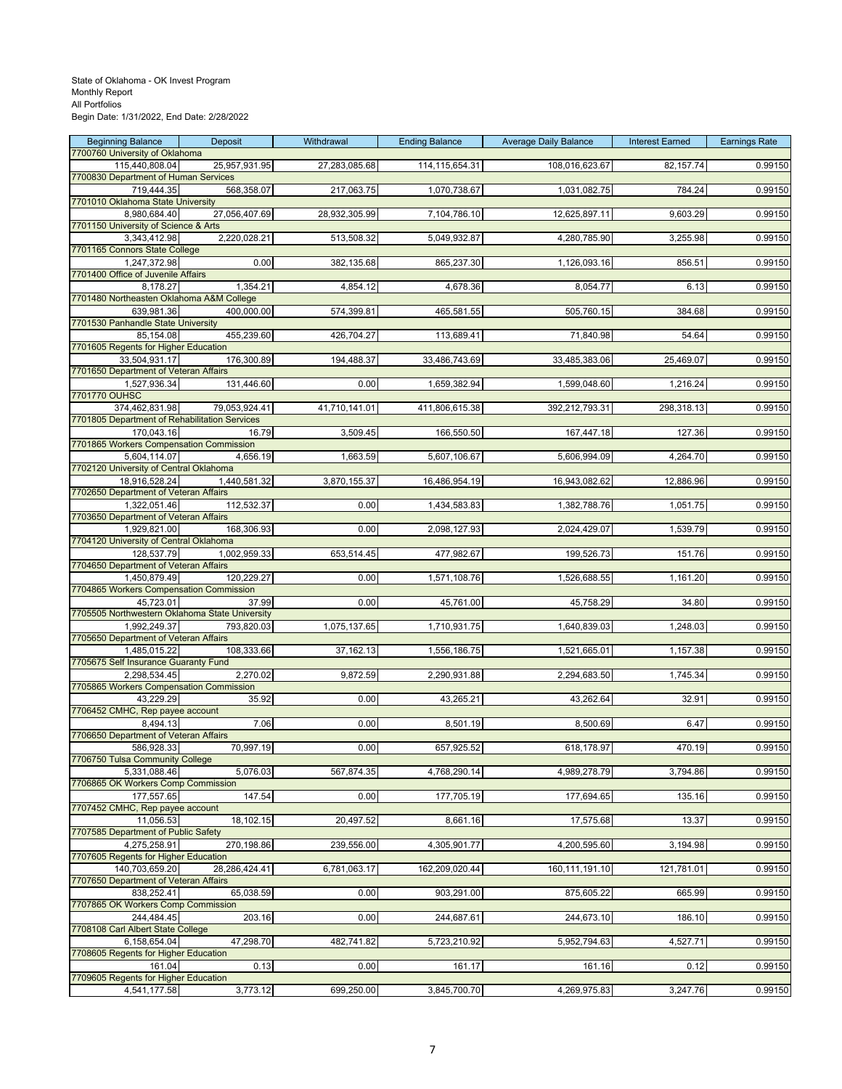| <b>Beginning Balance</b>                                    | Deposit       | Withdrawal    | <b>Ending Balance</b> | <b>Average Daily Balance</b> | <b>Interest Earned</b> | <b>Earnings Rate</b> |
|-------------------------------------------------------------|---------------|---------------|-----------------------|------------------------------|------------------------|----------------------|
| 7700760 University of Oklahoma                              |               |               |                       |                              |                        |                      |
| 115,440,808.04<br>7700830 Department of Human Services      | 25,957,931.95 | 27,283,085.68 | 114,115,654.31        | 108,016,623.67               | 82, 157.74             | 0.99150              |
| 719,444.35                                                  | 568,358.07    | 217,063.75    | 1,070,738.67          | 1,031,082.75                 | 784.24                 | 0.99150              |
| 7701010 Oklahoma State University                           |               |               |                       |                              |                        |                      |
| 8,980,684.40                                                | 27,056,407.69 | 28,932,305.99 | 7,104,786.10          | 12,625,897.11                | 9,603.29               | 0.99150              |
| 7701150 University of Science & Arts                        |               |               |                       |                              |                        |                      |
| 3,343,412.98                                                | 2,220,028.21  | 513,508.32    | 5,049,932.87          | 4,280,785.90                 | 3,255.98               | 0.99150              |
| 7701165 Connors State College<br>1,247,372.98               | 0.00          | 382,135.68    | 865,237.30            | 1,126,093.16                 | 856.51                 | 0.99150              |
| 7701400 Office of Juvenile Affairs                          |               |               |                       |                              |                        |                      |
| 8,178.27                                                    | 1,354.21      | 4,854.12      | 4,678.36              | 8,054.77                     | 6.13                   | 0.99150              |
| 7701480 Northeasten Oklahoma A&M College                    |               |               |                       |                              |                        |                      |
| 639,981.36                                                  | 400,000.00    | 574,399.81    | 465,581.55            | 505,760.15                   | 384.68                 | 0.99150              |
| 7701530 Panhandle State University<br>85,154.08             | 455,239.60    | 426,704.27    | 113,689.41            | 71,840.98                    | 54.64                  | 0.99150              |
| 7701605 Regents for Higher Education                        |               |               |                       |                              |                        |                      |
| 33,504,931.17                                               | 176,300.89    | 194,488.37    | 33,486,743.69         | 33,485,383.06                | 25,469.07              | 0.99150              |
| 7701650 Department of Veteran Affairs                       |               |               |                       |                              |                        |                      |
| 1,527,936.34                                                | 131,446.60    | 0.00          | 1,659,382.94          | 1,599,048.60                 | 1,216.24               | 0.99150              |
| 7701770 OUHSC<br>374,462,831.98                             | 79,053,924.41 | 41,710,141.01 | 411,806,615.38        | 392,212,793.31               | 298,318.13             | 0.99150              |
| 7701805 Department of Rehabilitation Services               |               |               |                       |                              |                        |                      |
| 170,043.16                                                  | 16.79         | 3,509.45      | 166,550.50            | 167,447.18                   | 127.36                 | 0.99150              |
| 7701865 Workers Compensation Commission                     |               |               |                       |                              |                        |                      |
| 5,604,114.07                                                | 4,656.19      | 1,663.59      | 5,607,106.67          | 5,606,994.09                 | 4,264.70               | 0.99150              |
| 7702120 University of Central Oklahoma<br>18,916,528.24     | 1,440,581.32  | 3,870,155.37  | 16,486,954.19         | 16,943,082.62                | 12,886.96              | 0.99150              |
| 7702650 Department of Veteran Affairs                       |               |               |                       |                              |                        |                      |
| 1,322,051.46                                                | 112,532.37    | 0.00          | 1,434,583.83          | 1,382,788.76                 | 1,051.75               | 0.99150              |
| 7703650 Department of Veteran Affairs                       |               |               |                       |                              |                        |                      |
| 1,929,821.00<br>7704120 University of Central Oklahoma      | 168,306.93    | 0.00          | 2,098,127.93          | 2,024,429.07                 | 1,539.79               | 0.99150              |
| 128,537.79                                                  | 1,002,959.33  | 653,514.45    | 477,982.67            | 199,526.73                   | 151.76                 | 0.99150              |
| 7704650 Department of Veteran Affairs                       |               |               |                       |                              |                        |                      |
| 1,450,879.49                                                | 120,229.27    | 0.00          | 1,571,108.76          | 1,526,688.55                 | 1,161.20               | 0.99150              |
| 7704865 Workers Compensation Commission                     |               |               |                       |                              |                        |                      |
| 45,723.01<br>7705505 Northwestern Oklahoma State University | 37.99         | 0.00          | 45,761.00             | 45,758.29                    | 34.80                  | 0.99150              |
| 1,992,249.37                                                | 793,820.03    | 1,075,137.65  | 1,710,931.75          | 1,640,839.03                 | 1,248.03               | 0.99150              |
| 7705650 Department of Veteran Affairs                       |               |               |                       |                              |                        |                      |
| 1,485,015.22                                                | 108,333.66    | 37,162.13     | 1,556,186.75          | 1,521,665.01                 | 1,157.38               | 0.99150              |
| 7705675 Self Insurance Guaranty Fund                        |               |               |                       |                              |                        | 0.99150              |
| 2,298,534.45<br>7705865 Workers Compensation Commission     | 2,270.02      | 9,872.59      | 2,290,931.88          | 2,294,683.50                 | 1,745.34               |                      |
| 43,229.29                                                   | 35.92         | 0.00          | 43,265.21             | 43,262.64                    | 32.91                  | 0.99150              |
| 7706452 CMHC, Rep payee account                             |               |               |                       |                              |                        |                      |
| 8,494.13                                                    | 7.06          | 0.00          | 8,501.19              | 8,500.69                     | 6.47                   | 0.99150              |
| 7706650 Department of Veteran Affairs<br>586.928.33         | 70.997.19     | 0.00          | 657.925.52            | 618.178.97                   | 470.19                 | 0.99150              |
| 7706750 Tulsa Community College                             |               |               |                       |                              |                        |                      |
| 5,331,088.46                                                | 5,076.03      | 567,874.35    | 4,768,290.14          | 4,989,278.79                 | 3,794.86               | 0.99150              |
| 7706865 OK Workers Comp Commission                          |               |               |                       |                              |                        |                      |
| 177,557.65<br>7707452 CMHC, Rep payee account               | 147.54        | 0.00          | 177,705.19            | 177,694.65                   | 135.16                 | 0.99150              |
| 11,056.53                                                   | 18,102.15     | 20,497.52     | 8,661.16              | 17,575.68                    | 13.37                  | 0.99150              |
| 7707585 Department of Public Safety                         |               |               |                       |                              |                        |                      |
| 4.275.258.91                                                | 270,198.86    | 239,556.00    | 4,305,901.77          | 4,200,595.60                 | 3,194.98               | 0.99150              |
| 7707605 Regents for Higher Education                        |               |               |                       |                              |                        |                      |
| 140,703,659.20<br>7707650 Department of Veteran Affairs     | 28,286,424.41 | 6,781,063.17  | 162,209,020.44        | 160,111,191.10               | 121,781.01             | 0.99150              |
| 838,252.41                                                  | 65,038.59     | 0.00          | 903,291.00            | 875,605.22                   | 665.99                 | 0.99150              |
| 7707865 OK Workers Comp Commission                          |               |               |                       |                              |                        |                      |
| 244,484.45                                                  | 203.16        | 0.00          | 244,687.61            | 244,673.10                   | 186.10                 | 0.99150              |
| 7708108 Carl Albert State College<br>6,158,654.04           | 47,298.70     | 482,741.82    | 5,723,210.92          | 5,952,794.63                 | 4,527.71               | 0.99150              |
| 7708605 Regents for Higher Education                        |               |               |                       |                              |                        |                      |
| 161.04                                                      | 0.13          | 0.00          | 161.17                | 161.16                       | 0.12                   | 0.99150              |
| 7709605 Regents for Higher Education                        |               |               |                       |                              |                        |                      |
| 4,541,177.58                                                | 3,773.12      | 699,250.00    | 3,845,700.70          | 4,269,975.83                 | 3,247.76               | 0.99150              |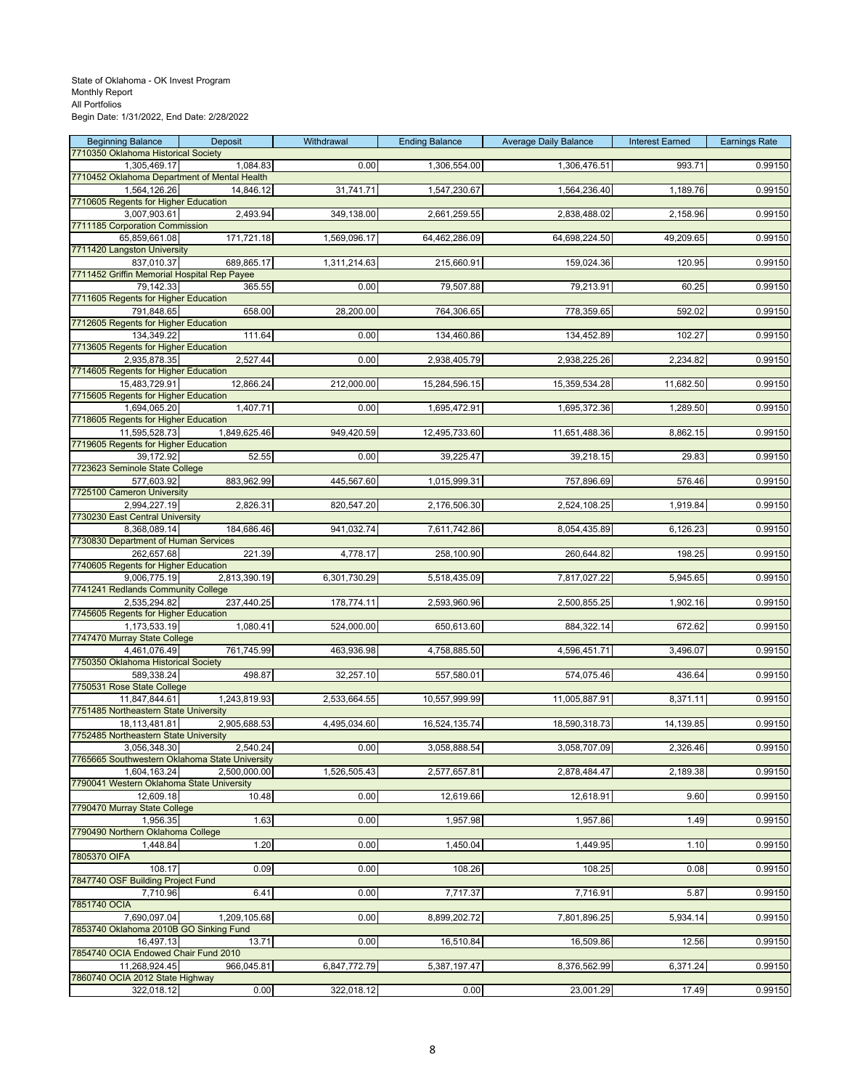| <b>Beginning Balance</b><br>7710350 Oklahoma Historical Society | Deposit      | Withdrawal   | <b>Ending Balance</b> | <b>Average Daily Balance</b> | <b>Interest Earned</b> | <b>Earnings Rate</b> |
|-----------------------------------------------------------------|--------------|--------------|-----------------------|------------------------------|------------------------|----------------------|
| 1,305,469.17                                                    | 1,084.83     | 0.00         | 1,306,554.00          | 1,306,476.51                 | 993.71                 | 0.99150              |
| 7710452 Oklahoma Department of Mental Health                    |              |              |                       |                              |                        |                      |
| 1,564,126.26                                                    | 14,846.12    | 31,741.71    | 1,547,230.67          | 1,564,236.40                 | 1,189.76               | 0.99150              |
| 7710605 Regents for Higher Education                            |              |              |                       |                              |                        |                      |
| 3,007,903.61<br>7711185 Corporation Commission                  | 2,493.94     | 349,138.00   | 2,661,259.55          | 2,838,488.02                 | 2,158.96               | 0.99150              |
| 65,859,661.08                                                   | 171,721.18   | 1,569,096.17 | 64,462,286.09         | 64,698,224.50                | 49,209.65              | 0.99150              |
| 7711420 Langston University                                     |              |              |                       |                              |                        |                      |
| 837,010.37                                                      | 689,865.17   | 1,311,214.63 | 215,660.91            | 159,024.36                   | 120.95                 | 0.99150              |
| 7711452 Griffin Memorial Hospital Rep Payee                     |              |              |                       |                              |                        |                      |
| 79,142.33<br>7711605 Regents for Higher Education               | 365.55       | 0.00         | 79,507.88             | 79,213.91                    | 60.25                  | 0.99150              |
| 791,848.65                                                      | 658.00       | 28,200.00    | 764,306.65            | 778,359.65                   | 592.02                 | 0.99150              |
| 7712605 Regents for Higher Education                            |              |              |                       |                              |                        |                      |
| 134,349.22                                                      | 111.64       | 0.00         | 134,460.86            | 134,452.89                   | 102.27                 | 0.99150              |
| 7713605 Regents for Higher Education                            |              |              |                       |                              |                        |                      |
| 2,935,878.35<br>7714605 Regents for Higher Education            | 2,527.44     | 0.00         | 2,938,405.79          | 2,938,225.26                 | 2,234.82               | 0.99150              |
| 15,483,729.91                                                   | 12,866.24    | 212,000.00   | 15,284,596.15         | 15,359,534.28                | 11,682.50              | 0.99150              |
| 7715605 Regents for Higher Education                            |              |              |                       |                              |                        |                      |
| 1,694,065.20                                                    | 1,407.71     | 0.00         | 1,695,472.91          | 1,695,372.36                 | 1,289.50               | 0.99150              |
| 7718605 Regents for Higher Education                            |              |              |                       |                              |                        |                      |
| 11,595,528.73<br>7719605 Regents for Higher Education           | 1,849,625.46 | 949,420.59   | 12,495,733.60         | 11,651,488.36                | 8,862.15               | 0.99150              |
| 39,172.92                                                       | 52.55        | 0.00         | 39,225.47             | 39,218.15                    | 29.83                  | 0.99150              |
| 7723623 Seminole State College                                  |              |              |                       |                              |                        |                      |
| 577,603.92                                                      | 883,962.99   | 445,567.60   | 1,015,999.31          | 757,896.69                   | 576.46                 | 0.99150              |
| 7725100 Cameron University                                      |              |              |                       |                              |                        |                      |
| 2,994,227.19                                                    | 2,826.31     | 820,547.20   | 2,176,506.30          | 2,524,108.25                 | 1,919.84               | 0.99150              |
| 7730230 East Central University<br>8,368,089.14                 | 184,686.46   | 941,032.74   | 7,611,742.86          | 8,054,435.89                 | 6,126.23               | 0.99150              |
| 7730830 Department of Human Services                            |              |              |                       |                              |                        |                      |
| 262,657.68                                                      | 221.39       | 4,778.17     | 258,100.90            | 260,644.82                   | 198.25                 | 0.99150              |
| 7740605 Regents for Higher Education                            |              |              |                       |                              |                        |                      |
| 9,006,775.19                                                    | 2,813,390.19 | 6,301,730.29 | 5,518,435.09          | 7,817,027.22                 | 5,945.65               | 0.99150              |
| 7741241 Redlands Community College                              |              |              |                       |                              |                        |                      |
| 2,535,294.82<br>7745605 Regents for Higher Education            | 237,440.25   | 178,774.11   | 2,593,960.96          | 2,500,855.25                 | 1,902.16               | 0.99150              |
| 1,173,533.19                                                    | 1,080.41     | 524,000.00   | 650,613.60            | 884,322.14                   | 672.62                 | 0.99150              |
| 7747470 Murray State College                                    |              |              |                       |                              |                        |                      |
| 4,461,076.49                                                    | 761,745.99   | 463,936.98   | 4,758,885.50          | 4,596,451.71                 | 3,496.07               | 0.99150              |
| 7750350 Oklahoma Historical Society                             |              |              |                       |                              |                        |                      |
| 589,338.24<br>7750531 Rose State College                        | 498.87       | 32,257.10    | 557,580.01            | 574,075.46                   | 436.64                 | 0.99150              |
| 11,847,844.61                                                   | 1,243,819.93 | 2,533,664.55 | 10,557,999.99         | 11,005,887.91                | 8,371.11               | 0.99150              |
| 7751485 Northeastern State University                           |              |              |                       |                              |                        |                      |
| 18,113,481.81                                                   | 2,905,688.53 | 4,495,034.60 | 16,524,135.74         | 18,590,318.73                | 14,139.85              | 0.99150              |
| 7752485 Northeastern State University                           |              |              |                       |                              |                        |                      |
| 3,056,348.30<br>7765665 Southwestern Oklahoma State University  | 2,540.24     | 0.00         | 3,058,888.54          | 3,058,707.09                 | 2,326.46               | 0.99150              |
| 1,604,163.24                                                    | 2,500,000.00 | 1,526,505.43 | 2,577,657.81          | 2,878,484.47                 | 2,189.38               | 0.99150              |
| 7790041 Western Oklahoma State University                       |              |              |                       |                              |                        |                      |
| 12,609.18                                                       | 10.48        | 0.00         | 12,619.66             | 12,618.91                    | 9.60                   | 0.99150              |
| 7790470 Murray State College                                    |              |              |                       |                              |                        |                      |
| 1,956.35<br>7790490 Northern Oklahoma College                   | 1.63         | 0.00         | 1,957.98              | 1,957.86                     | 1.49                   | 0.99150              |
| 1,448.84                                                        | 1.20         | 0.00         | 1,450.04              | 1,449.95                     | 1.10                   | 0.99150              |
| 7805370 OIFA                                                    |              |              |                       |                              |                        |                      |
| 108.17                                                          | 0.09         | 0.00         | 108.26                | 108.25                       | 0.08                   | 0.99150              |
| 7847740 OSF Building Project Fund                               |              |              |                       |                              |                        |                      |
| 7,710.96<br>7851740 OCIA                                        | 6.41         | 0.00         | 7,717.37              | 7,716.91                     | 5.87                   | 0.99150              |
| 7.690.097.04                                                    | 1,209,105.68 | 0.00         | 8,899,202.72          | 7,801,896.25                 | 5,934.14               | 0.99150              |
| 7853740 Oklahoma 2010B GO Sinking Fund                          |              |              |                       |                              |                        |                      |
| 16,497.13                                                       | 13.71        | 0.00         | 16,510.84             | 16,509.86                    | 12.56                  | 0.99150              |
| 7854740 OCIA Endowed Chair Fund 2010                            |              |              |                       |                              |                        |                      |
| 11,268,924.45                                                   | 966,045.81   | 6,847,772.79 | 5,387,197.47          | 8,376,562.99                 | 6,371.24               | 0.99150              |
| 7860740 OCIA 2012 State Highway<br>322,018.12                   | 0.00         | 322,018.12   | 0.00                  | 23,001.29                    | 17.49                  | 0.99150              |
|                                                                 |              |              |                       |                              |                        |                      |